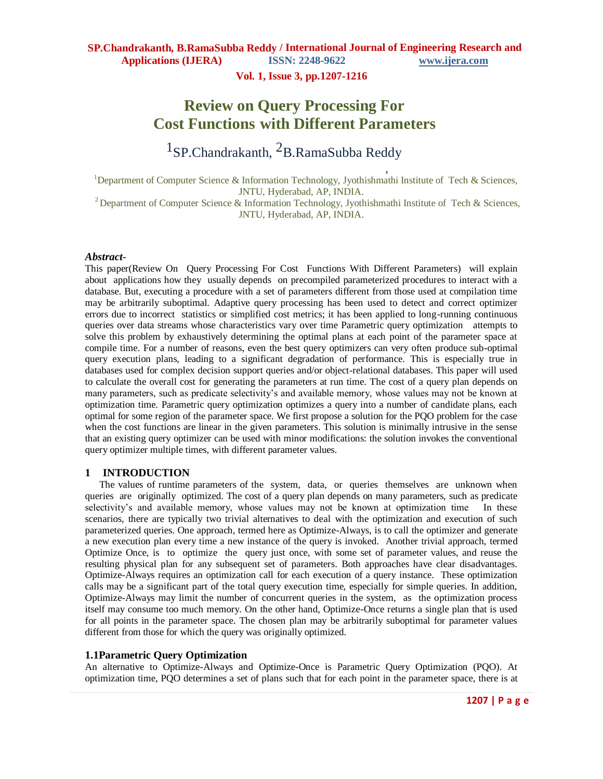**Vol. 1, Issue 3, pp.1207-1216**

# **Review on Query Processing For Cost Functions with Different Parameters**

<sup>1</sup>SP.Chandrakanth, <sup>2</sup>B.RamaSubba Reddy

, <sup>1</sup>Department of Computer Science & Information Technology, Jyothishmathi Institute of Tech & Sciences, JNTU, Hyderabad, AP, INDIA.

<sup>2</sup> Department of Computer Science & Information Technology, Jyothishmathi Institute of Tech & Sciences, JNTU, Hyderabad, AP, INDIA.

#### *Abstract*-

This paper(Review On Query Processing For Cost Functions With Different Parameters) will explain about applications how they usually depends on precompiled parameterized procedures to interact with a database. But, executing a procedure with a set of parameters different from those used at compilation time may be arbitrarily suboptimal. Adaptive query processing has been used to detect and correct optimizer errors due to incorrect statistics or simplified cost metrics; it has been applied to long-running continuous queries over data streams whose characteristics vary over time Parametric query optimization attempts to solve this problem by exhaustively determining the optimal plans at each point of the parameter space at compile time. For a number of reasons, even the best query optimizers can very often produce sub-optimal query execution plans, leading to a significant degradation of performance. This is especially true in databases used for complex decision support queries and/or object-relational databases. This paper will used to calculate the overall cost for generating the parameters at run time. The cost of a query plan depends on many parameters, such as predicate selectivity's and available memory, whose values may not be known at optimization time. Parametric query optimization optimizes a query into a number of candidate plans, each optimal for some region of the parameter space. We first propose a solution for the PQO problem for the case when the cost functions are linear in the given parameters. This solution is minimally intrusive in the sense that an existing query optimizer can be used with minor modifications: the solution invokes the conventional query optimizer multiple times, with different parameter values.

#### **1 INTRODUCTION**

The values of runtime parameters of the system, data, or queries themselves are unknown when queries are originally optimized. The cost of a query plan depends on many parameters, such as predicate selectivity's and available memory, whose values may not be known at optimization time In these scenarios, there are typically two trivial alternatives to deal with the optimization and execution of such parameterized queries. One approach, termed here as Optimize-Always, is to call the optimizer and generate a new execution plan every time a new instance of the query is invoked. Another trivial approach, termed Optimize Once, is to optimize the query just once, with some set of parameter values, and reuse the resulting physical plan for any subsequent set of parameters. Both approaches have clear disadvantages. Optimize-Always requires an optimization call for each execution of a query instance. These optimization calls may be a significant part of the total query execution time, especially for simple queries. In addition, Optimize-Always may limit the number of concurrent queries in the system, as the optimization process itself may consume too much memory. On the other hand, Optimize-Once returns a single plan that is used for all points in the parameter space. The chosen plan may be arbitrarily suboptimal for parameter values different from those for which the query was originally optimized.

### **1.1Parametric Query Optimization**

An alternative to Optimize-Always and Optimize-Once is Parametric Query Optimization (PQO). At optimization time, PQO determines a set of plans such that for each point in the parameter space, there is at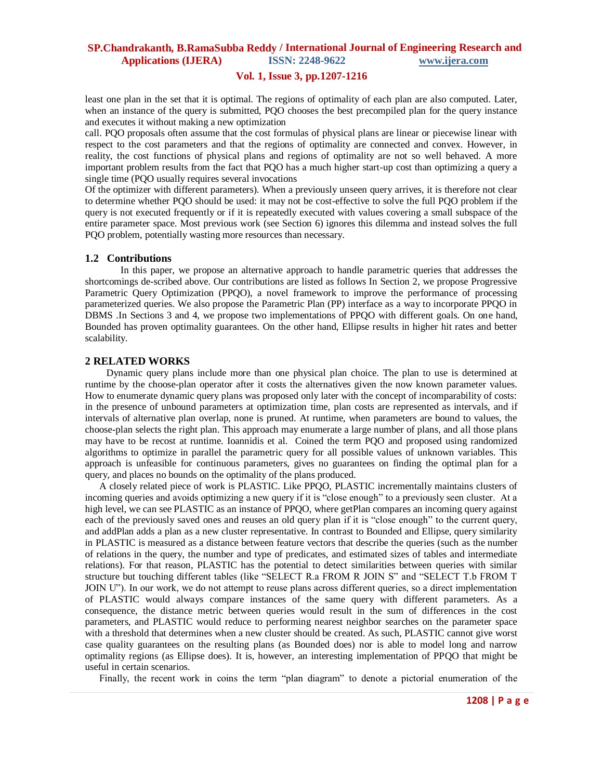## **Vol. 1, Issue 3, pp.1207-1216**

least one plan in the set that it is optimal. The regions of optimality of each plan are also computed. Later, when an instance of the query is submitted, POO chooses the best precompiled plan for the query instance and executes it without making a new optimization

call. PQO proposals often assume that the cost formulas of physical plans are linear or piecewise linear with respect to the cost parameters and that the regions of optimality are connected and convex. However, in reality, the cost functions of physical plans and regions of optimality are not so well behaved. A more important problem results from the fact that PQO has a much higher start-up cost than optimizing a query a single time (PQO usually requires several invocations

Of the optimizer with different parameters). When a previously unseen query arrives, it is therefore not clear to determine whether PQO should be used: it may not be cost-effective to solve the full PQO problem if the query is not executed frequently or if it is repeatedly executed with values covering a small subspace of the entire parameter space. Most previous work (see Section 6) ignores this dilemma and instead solves the full PQO problem, potentially wasting more resources than necessary.

#### **1.2 Contributions**

In this paper, we propose an alternative approach to handle parametric queries that addresses the shortcomings de-scribed above. Our contributions are listed as follows In Section 2, we propose Progressive Parametric Query Optimization (PPQO), a novel framework to improve the performance of processing parameterized queries. We also propose the Parametric Plan (PP) interface as a way to incorporate PPQO in DBMS .In Sections 3 and 4, we propose two implementations of PPQO with different goals. On one hand, Bounded has proven optimality guarantees. On the other hand, Ellipse results in higher hit rates and better scalability.

#### **2 RELATED WORKS**

Dynamic query plans include more than one physical plan choice. The plan to use is determined at runtime by the choose-plan operator after it costs the alternatives given the now known parameter values. How to enumerate dynamic query plans was proposed only later with the concept of incomparability of costs: in the presence of unbound parameters at optimization time, plan costs are represented as intervals, and if intervals of alternative plan overlap, none is pruned. At runtime, when parameters are bound to values, the choose-plan selects the right plan. This approach may enumerate a large number of plans, and all those plans may have to be recost at runtime. Ioannidis et al. Coined the term PQO and proposed using randomized algorithms to optimize in parallel the parametric query for all possible values of unknown variables. This approach is unfeasible for continuous parameters, gives no guarantees on finding the optimal plan for a query, and places no bounds on the optimality of the plans produced.

A closely related piece of work is PLASTIC. Like PPQO, PLASTIC incrementally maintains clusters of incoming queries and avoids optimizing a new query if it is "close enough" to a previously seen cluster. At a high level, we can see PLASTIC as an instance of PPQO, where getPlan compares an incoming query against each of the previously saved ones and reuses an old query plan if it is "close enough" to the current query, and addPlan adds a plan as a new cluster representative. In contrast to Bounded and Ellipse, query similarity in PLASTIC is measured as a distance between feature vectors that describe the queries (such as the number of relations in the query, the number and type of predicates, and estimated sizes of tables and intermediate relations). For that reason, PLASTIC has the potential to detect similarities between queries with similar structure but touching different tables (like "SELECT R.a FROM R JOIN S" and "SELECT T.b FROM T JOIN U"). In our work, we do not attempt to reuse plans across different queries, so a direct implementation of PLASTIC would always compare instances of the same query with different parameters. As a consequence, the distance metric between queries would result in the sum of differences in the cost parameters, and PLASTIC would reduce to performing nearest neighbor searches on the parameter space with a threshold that determines when a new cluster should be created. As such, PLASTIC cannot give worst case quality guarantees on the resulting plans (as Bounded does) nor is able to model long and narrow optimality regions (as Ellipse does). It is, however, an interesting implementation of PPQO that might be useful in certain scenarios.

Finally, the recent work in coins the term "plan diagram" to denote a pictorial enumeration of the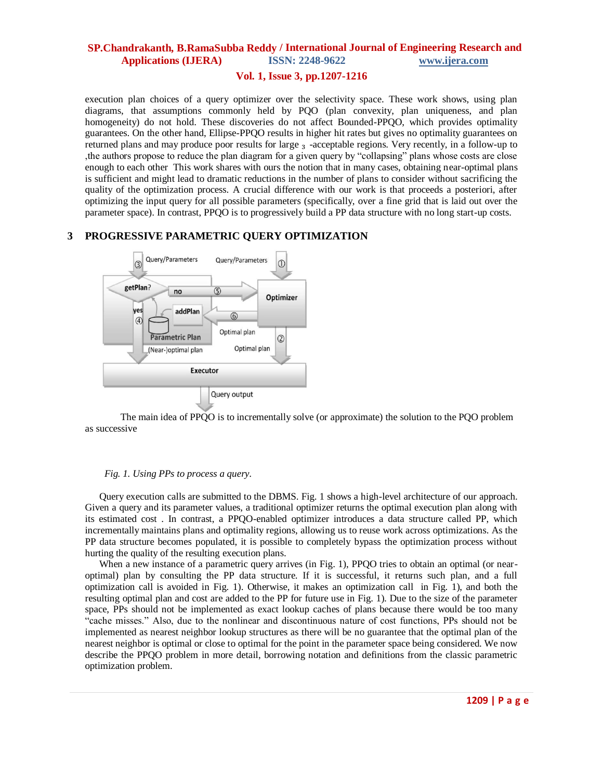## **Vol. 1, Issue 3, pp.1207-1216**

execution plan choices of a query optimizer over the selectivity space. These work shows, using plan diagrams, that assumptions commonly held by PQO (plan convexity, plan uniqueness, and plan homogeneity) do not hold. These discoveries do not affect Bounded-PPQO, which provides optimality guarantees. On the other hand, Ellipse-PPQO results in higher hit rates but gives no optimality guarantees on returned plans and may produce poor results for large <sub>3</sub> -acceptable regions. Very recently, in a follow-up to , the authors propose to reduce the plan diagram for a given query by "collapsing" plans whose costs are close enough to each other This work shares with ours the notion that in many cases, obtaining near-optimal plans is sufficient and might lead to dramatic reductions in the number of plans to consider without sacrificing the quality of the optimization process. A crucial difference with our work is that proceeds a posteriori, after optimizing the input query for all possible parameters (specifically, over a fine grid that is laid out over the parameter space). In contrast, PPQO is to progressively build a PP data structure with no long start-up costs.

## **3 PROGRESSIVE PARAMETRIC QUERY OPTIMIZATION**



The main idea of PPQO is to incrementally solve (or approximate) the solution to the PQO problem as successive

#### *Fig. 1. Using PPs to process a query.*

Query execution calls are submitted to the DBMS. Fig. 1 shows a high-level architecture of our approach. Given a query and its parameter values, a traditional optimizer returns the optimal execution plan along with its estimated cost . In contrast, a PPQO-enabled optimizer introduces a data structure called PP, which incrementally maintains plans and optimality regions, allowing us to reuse work across optimizations. As the PP data structure becomes populated, it is possible to completely bypass the optimization process without hurting the quality of the resulting execution plans.

When a new instance of a parametric query arrives (in Fig. 1), PPQO tries to obtain an optimal (or nearoptimal) plan by consulting the PP data structure. If it is successful, it returns such plan, and a full optimization call is avoided in Fig. 1). Otherwise, it makes an optimization call in Fig. 1), and both the resulting optimal plan and cost are added to the PP for future use in Fig. 1). Due to the size of the parameter space, PPs should not be implemented as exact lookup caches of plans because there would be too many ―cache misses.‖ Also, due to the nonlinear and discontinuous nature of cost functions, PPs should not be implemented as nearest neighbor lookup structures as there will be no guarantee that the optimal plan of the nearest neighbor is optimal or close to optimal for the point in the parameter space being considered. We now describe the PPQO problem in more detail, borrowing notation and definitions from the classic parametric optimization problem.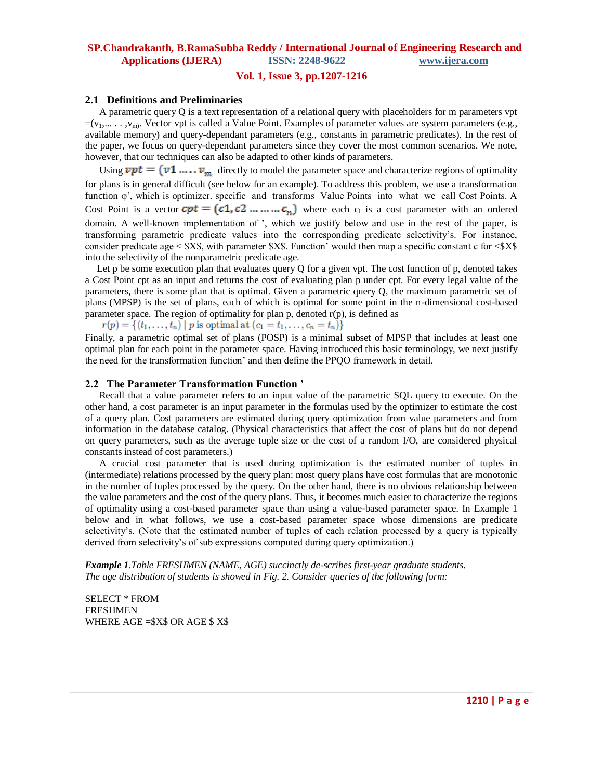## **Vol. 1, Issue 3, pp.1207-1216**

### **2.1 Definitions and Preliminaries**

A parametric query Q is a text representation of a relational query with placeholders for m parameters vpt  $=(v_1,..., v_m)$ . Vector vpt is called a Value Point. Examples of parameter values are system parameters (e.g., available memory) and query-dependant parameters (e.g., constants in parametric predicates). In the rest of the paper, we focus on query-dependant parameters since they cover the most common scenarios. We note, however, that our techniques can also be adapted to other kinds of parameters.

Using  $\mathbf{vpt} = (v1 \dots v_m)$  directly to model the parameter space and characterize regions of optimality for plans is in general difficult (see below for an example). To address this problem, we use a transformation function φ', which is optimizer. specific and transforms Value Points into what we call Cost Points. A Cost Point is a vector  $cpt = (c1, c2, \ldots, c_n)$  where each  $c_i$  is a cost parameter with an ordered domain. A well-known implementation of ', which we justify below and use in the rest of the paper, is transforming parametric predicate values into the corresponding predicate selectivity's. For instance, consider predicate age  $\langle$  \$X\$, with parameter \$X\$. Function' would then map a specific constant c for  $\langle$ \$X\$ into the selectivity of the nonparametric predicate age.

Let p be some execution plan that evaluates query Q for a given vpt. The cost function of p, denoted takes a Cost Point cpt as an input and returns the cost of evaluating plan p under cpt. For every legal value of the parameters, there is some plan that is optimal. Given a parametric query Q, the maximum parametric set of plans (MPSP) is the set of plans, each of which is optimal for some point in the n-dimensional cost-based parameter space. The region of optimality for plan p, denoted  $r(p)$ , is defined as

 $r(p) = \{(t_1, ..., t_n) | p \text{ is optimal at } (c_1 = t_1, ..., c_n = t_n)\}\$ 

Finally, a parametric optimal set of plans (POSP) is a minimal subset of MPSP that includes at least one optimal plan for each point in the parameter space. Having introduced this basic terminology, we next justify the need for the transformation function' and then define the PPQO framework in detail.

#### **2.2 The Parameter Transformation Function '**

Recall that a value parameter refers to an input value of the parametric SQL query to execute. On the other hand, a cost parameter is an input parameter in the formulas used by the optimizer to estimate the cost of a query plan. Cost parameters are estimated during query optimization from value parameters and from information in the database catalog. (Physical characteristics that affect the cost of plans but do not depend on query parameters, such as the average tuple size or the cost of a random I/O, are considered physical constants instead of cost parameters.)

A crucial cost parameter that is used during optimization is the estimated number of tuples in (intermediate) relations processed by the query plan: most query plans have cost formulas that are monotonic in the number of tuples processed by the query. On the other hand, there is no obvious relationship between the value parameters and the cost of the query plans. Thus, it becomes much easier to characterize the regions of optimality using a cost-based parameter space than using a value-based parameter space. In Example 1 below and in what follows, we use a cost-based parameter space whose dimensions are predicate selectivity's. (Note that the estimated number of tuples of each relation processed by a query is typically derived from selectivity's of sub expressions computed during query optimization.)

*Example 1.Table FRESHMEN (NAME, AGE) succinctly de-scribes first-year graduate students. The age distribution of students is showed in Fig. 2. Consider queries of the following form:*

SELECT \* FROM FRESHMEN WHERE AGE =\$X\$ OR AGE \$ X\$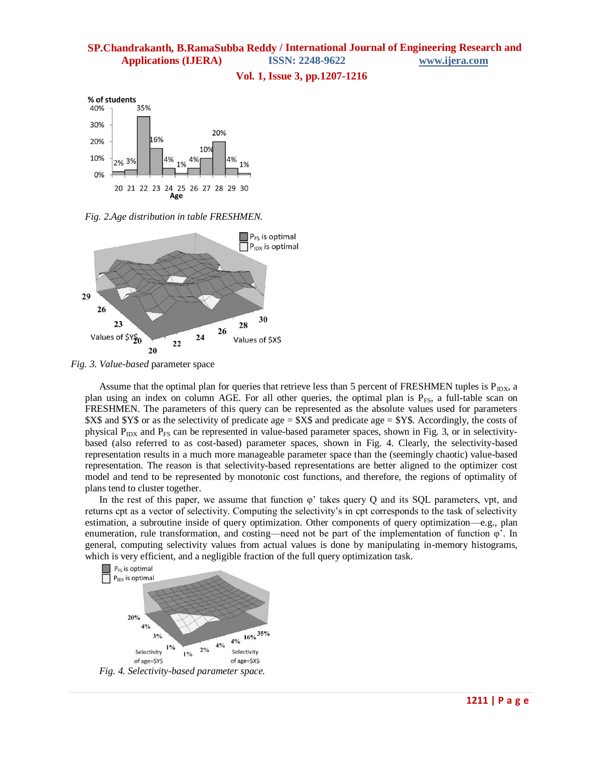## **Vol. 1, Issue 3, pp.1207-1216**

% of students 35% 40% 30% 20% 6% 20%  $10<sup>1</sup>$ 10% 2% 3% 4% 0% 20 21 22 23 24 25 29 30 26 27 28 Age

*Fig. 2.Age distribution in table FRESHMEN.*



*Fig. 3. Value-based* parameter space

Assume that the optimal plan for queries that retrieve less than 5 percent of FRESHMEN tuples is  $P_{D}x$ , a plan using an index on column AGE. For all other queries, the optimal plan is  $P_{FS}$ , a full-table scan on FRESHMEN. The parameters of this query can be represented as the absolute values used for parameters \$X\$ and \$Y\$ or as the selectivity of predicate age = \$X\$ and predicate age = \$Y\$. Accordingly, the costs of physical  $P_{\text{IDX}}$  and  $P_{\text{FS}}$  can be represented in value-based parameter spaces, shown in Fig. 3, or in selectivitybased (also referred to as cost-based) parameter spaces, shown in Fig. 4. Clearly, the selectivity-based representation results in a much more manageable parameter space than the (seemingly chaotic) value-based representation. The reason is that selectivity-based representations are better aligned to the optimizer cost model and tend to be represented by monotonic cost functions, and therefore, the regions of optimality of plans tend to cluster together.

In the rest of this paper, we assume that function  $\varphi'$  takes query Q and its SQL parameters, ypt, and returns cpt as a vector of selectivity. Computing the selectivity's in cpt corresponds to the task of selectivity estimation, a subroutine inside of query optimization. Other components of query optimization—e.g., plan enumeration, rule transformation, and costing—need not be part of the implementation of function  $\varphi'$ . In general, computing selectivity values from actual values is done by manipulating in-memory histograms, which is very efficient, and a negligible fraction of the full query optimization task.

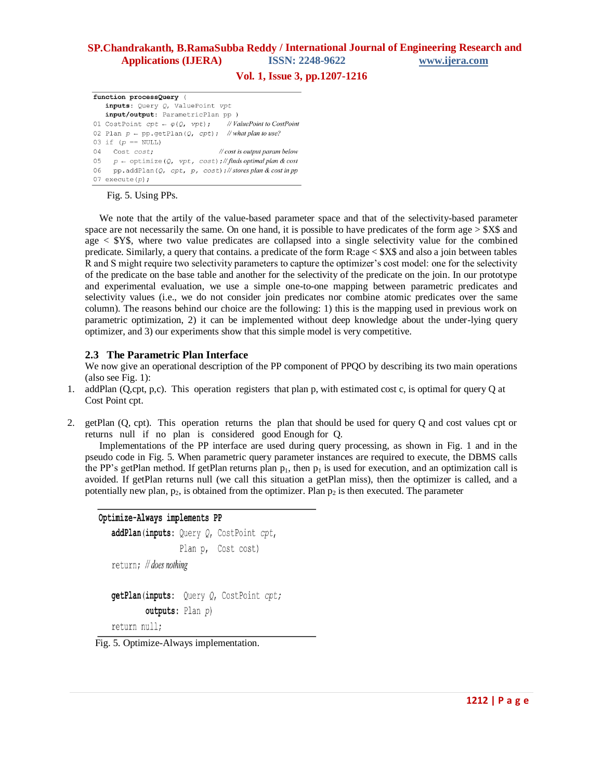## **Vol. 1, Issue 3, pp.1207-1216**

function processQuery ( inputs: Query Q, ValuePoint vpt input/output: ParametricPlan pp ) 01 CostPoint  $cpt \leftarrow \varphi(Q, vpt)$ ; //*ValuePoint to CostPoint* 02 Plan  $p \leftarrow pp.getPlan(Q, cpt);$  //what plan to use? 03 if  $(p == NULL)$ 04 Cost cost; // cost is output param below 05  $p \leftarrow$  optimize (Q, vpt, cost);//finds optimal plan & cost 06 pp.addPlan( $Q$ , cpt, p, cost);//storesplan & cost in pp 07 execute $(p)$ ;

Fig. 5. Using PPs.

We note that the artily of the value-based parameter space and that of the selectivity-based parameter space are not necessarily the same. On one hand, it is possible to have predicates of the form age > \$X\$ and age  $\langle$  \$Y\$, where two value predicates are collapsed into a single selectivity value for the combined predicate. Similarly, a query that contains. a predicate of the form R:age < \$X\$ and also a join between tables R and S might require two selectivity parameters to capture the optimizer's cost model: one for the selectivity of the predicate on the base table and another for the selectivity of the predicate on the join. In our prototype and experimental evaluation, we use a simple one-to-one mapping between parametric predicates and selectivity values (i.e., we do not consider join predicates nor combine atomic predicates over the same column). The reasons behind our choice are the following: 1) this is the mapping used in previous work on parametric optimization, 2) it can be implemented without deep knowledge about the under-lying query optimizer, and 3) our experiments show that this simple model is very competitive.

## **2.3 The Parametric Plan Interface**

We now give an operational description of the PP component of PPQO by describing its two main operations (also see Fig. 1):

- 1. addPlan (Q,cpt, p,c). This operation registers that plan p, with estimated cost c, is optimal for query Q at Cost Point cpt.
- 2. getPlan (Q, cpt). This operation returns the plan that should be used for query Q and cost values cpt or returns null if no plan is considered good Enough for Q.

Implementations of the PP interface are used during query processing, as shown in Fig. 1 and in the pseudo code in Fig. 5. When parametric query parameter instances are required to execute, the DBMS calls the PP's getPlan method. If getPlan returns plan  $p_1$ , then  $p_1$  is used for execution, and an optimization call is avoided. If getPlan returns null (we call this situation a getPlan miss), then the optimizer is called, and a potentially new plan,  $p_2$ , is obtained from the optimizer. Plan  $p_2$  is then executed. The parameter

```
Optimize-Always implements PP
   addPlan(inputs: Query Q, CostPoint cpt,
                   Plan p, Cost cost)
   return; // does nothing
   getPlan(inputs: Query Q, CostPoint cpt;
           outputs: Plan p)
   return null;
```
Fig. 5. Optimize-Always implementation.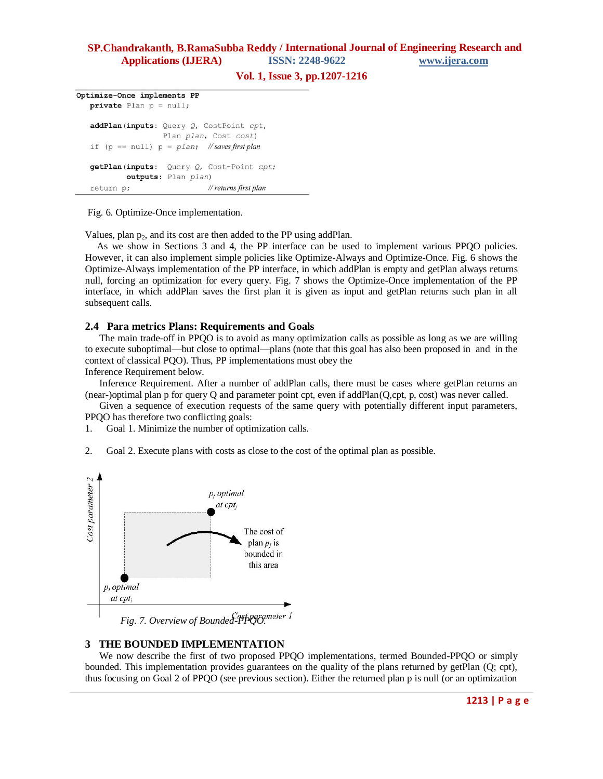### **Vol. 1, Issue 3, pp.1207-1216**

Optimize-Once implements PP  $private$  Plan  $p = null;$ addPlan(inputs: Query Q, CostPoint cpt, Plan plan, Cost cost) if (p ==  $null$ ) p =  $plan$ ; //saves first plan getPlan(inputs: Query Q, Cost-Point cpt; outputs: Plan plan) // returns first plan return p;

Fig. 6. Optimize-Once implementation.

Values, plan  $p_2$ , and its cost are then added to the PP using addPlan.

As we show in Sections 3 and 4, the PP interface can be used to implement various PPQO policies. However, it can also implement simple policies like Optimize-Always and Optimize-Once. Fig. 6 shows the Optimize-Always implementation of the PP interface, in which addPlan is empty and getPlan always returns null, forcing an optimization for every query. Fig. 7 shows the Optimize-Once implementation of the PP interface, in which addPlan saves the first plan it is given as input and getPlan returns such plan in all subsequent calls.

## **2.4 Para metrics Plans: Requirements and Goals**

The main trade-off in PPQO is to avoid as many optimization calls as possible as long as we are willing to execute suboptimal—but close to optimal—plans (note that this goal has also been proposed in and in the context of classical PQO). Thus, PP implementations must obey the

Inference Requirement below.

Inference Requirement. After a number of addPlan calls, there must be cases where getPlan returns an (near-)optimal plan p for query Q and parameter point cpt, even if addPlan(Q,cpt, p, cost) was never called.

Given a sequence of execution requests of the same query with potentially different input parameters, PPQO has therefore two conflicting goals:

1. Goal 1. Minimize the number of optimization calls.

2. Goal 2. Execute plans with costs as close to the cost of the optimal plan as possible.



*Fig. 7. Overview of Bounded-PPQO.*

## **3 THE BOUNDED IMPLEMENTATION**

We now describe the first of two proposed PPQO implementations, termed Bounded-PPQO or simply bounded. This implementation provides guarantees on the quality of the plans returned by getPlan (Q; cpt), thus focusing on Goal 2 of PPQO (see previous section). Either the returned plan p is null (or an optimization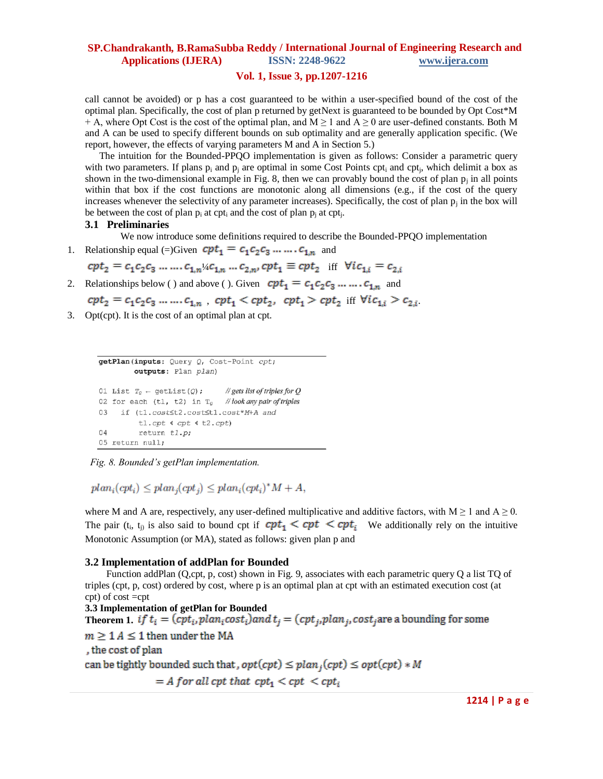## **Vol. 1, Issue 3, pp.1207-1216**

call cannot be avoided) or p has a cost guaranteed to be within a user-specified bound of the cost of the optimal plan. Specifically, the cost of plan p returned by getNext is guaranteed to be bounded by Opt Cost\*M + A, where Opt Cost is the cost of the optimal plan, and  $M \ge 1$  and  $A \ge 0$  are user-defined constants. Both M and A can be used to specify different bounds on sub optimality and are generally application specific. (We report, however, the effects of varying parameters M and A in Section 5.)

The intuition for the Bounded-PPQO implementation is given as follows: Consider a parametric query with two parameters. If plans  $p_i$  and  $p_j$  are optimal in some Cost Points  $cpt_i$  and  $cpt_j$ , which delimit a box as shown in the two-dimensional example in Fig. 8, then we can provably bound the cost of plan  $p_j$  in all points within that box if the cost functions are monotonic along all dimensions (e.g., if the cost of the query increases whenever the selectivity of any parameter increases). Specifically, the cost of plan  $p_i$  in the box will be between the cost of plan  $p_i$  at cpt<sub>i</sub> and the cost of plan  $p_j$  at cpt<sub>j</sub>.

#### **3.1 Preliminaries**

We now introduce some definitions required to describe the Bounded-PPQO implementation

1. Relationship equal (=)Given  $\mathbf{cpt}_1 = c_1 c_2 c_3 \dots \dots c_{1n}$  and

$$
cpt_2 = c_1c_2c_3 \dots c_{1,n} \frac{1}{4}c_{1,n} \dots c_{2,n}
$$
,  $cpt_1 \equiv cpt_2$  iff  $\forall ic_{1,i} = c_{2,i}$ 

2. Relationships below ( ) and above ( ). Given  $cpt_1 = c_1c_2c_3 \ldots \ldots c_{1,n}$  and

$$
cpt_2 = c_1c_2c_3 \ldots \ldots \ldots c_{1,n} \ , \ cpt_1 < cpt_2, \ cpt_1 > cpt_2 \ \text{iff} \ \forall ic_{1,i} > c_{2,i}
$$

3. Opt(cpt). It is the cost of an optimal plan at cpt.

```
getPlan(inputs: Query Q, Cost-Point cpt;
          outputs: Plan plan)
01 List T_Q \leftarrow \text{getList}(Q);
                                  // gets list of triples for Q02 for each (t1, t2) in T_Q //look any pair of triples
   if (t1.cost≤t2.cost≤t1.cost*M+A and
03
           tl.cpt \leftarrow cpt \leftarrow t2.cpt)
04return tl.p;
05 return null;
```
 *Fig. 8. Bounded's getPlan implementation.*

 $plan_i(cpt_i) \le plan_i(cpt_i) \le plan_i(cpt_i)^*M+A,$ 

where M and A are, respectively, any user-defined multiplicative and additive factors, with  $M \ge 1$  and  $A \ge 0$ . The pair (t<sub>i</sub>, t<sub>i)</sub> is also said to bound cpt if  $cpt_1 \leq cpt \leq cpt_i$  We additionally rely on the intuitive Monotonic Assumption (or MA), stated as follows: given plan p and

## **3.2 Implementation of addPlan for Bounded**

Function addPlan (Q,cpt, p, cost) shown in Fig. 9, associates with each parametric query Q a list TQ of triples (cpt, p, cost) ordered by cost, where p is an optimal plan at cpt with an estimated execution cost (at cpt) of cost =cpt

**3.3 Implementation of getPlan for Bounded Theorem 1.** if  $t_i = (cpt_i, plan_icost_i)$  and  $t_j = (cpt_j, plan_j, cost_j)$  are a bounding for some  $m \geq 1$  A  $\leq$  1 then under the MA , the cost of plan can be tightly bounded such that,  $opt(cpt) \leq plan_j(cpt) \leq opt(cpt) * M$  $=$  A for all cpt that  $cpt_1 \lt cpt_1 \lt cpt_i$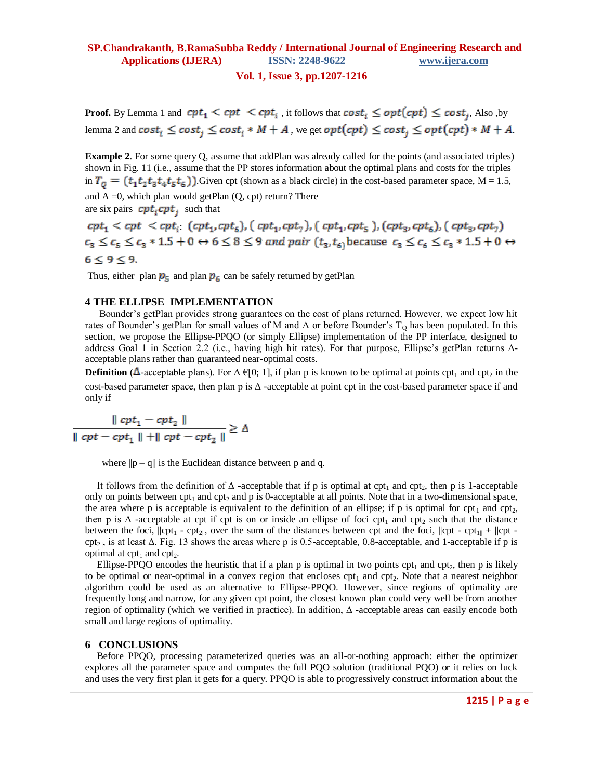#### **Vol. 1, Issue 3, pp.1207-1216**

**Proof.** By Lemma 1 and  $cpt_1 < cpt_1 < cpt_i$ , it follows that  $cost_i \leq opt(cpt) \leq cost_i$ , Also ,by lemma 2 and  $cost_i \leq cost_i \leq cost_i * M + A$ , we get  $opt(cpt) \leq cost_i \leq opt(cpt) * M + A$ .

**Example 2**. For some query Q, assume that addPlan was already called for the points (and associated triples) shown in Fig. 11 (i.e., assume that the PP stores information about the optimal plans and costs for the triples in  $T_0 = (t_1 t_2 t_3 t_4 t_5 t_6)$ . Given cpt (shown as a black circle) in the cost-based parameter space, M = 1.5, and  $A = 0$ , which plan would getPlan  $(Q, cpt)$  return? There are six pairs  $cpt_i$  cpt<sub>i</sub> cpt<sub>i</sub> such that

 $cpt_1 < cpt_i < cpt_i$  (cpt<sub>1</sub>, cpt<sub>6</sub>), (cpt<sub>1</sub>, cpt<sub>7</sub>), (cpt<sub>1</sub>, cpt<sub>5</sub>), (cpt<sub>3</sub>, cpt<sub>6</sub>), (cpt<sub>3</sub>, cpt<sub>7</sub>)  $c_3 \leq c_5 \leq c_3 * 1.5 + 0 \leftrightarrow 6 \leq 8 \leq 9$  and pair  $(t_3, t_6)$  because  $c_3 \leq c_6 \leq c_3 * 1.5 + 0 \leftrightarrow$  $6 \leq 9 \leq 9$ .

Thus, either plan  $p_5$  and plan  $p_6$  can be safely returned by getPlan

## **4 THE ELLIPSE IMPLEMENTATION**

Bounder's getPlan provides strong guarantees on the cost of plans returned. However, we expect low hit rates of Bounder's getPlan for small values of M and A or before Bounder's  $T<sub>0</sub>$  has been populated. In this section, we propose the Ellipse-PPQO (or simply Ellipse) implementation of the PP interface, designed to address Goal 1 in Section 2.2 (i.e., having high hit rates). For that purpose, Ellipse's getPlan returns Δacceptable plans rather than guaranteed near-optimal costs.

**Definition** ( $\Delta$ -acceptable plans). For  $\Delta \in [0; 1]$ , if plan p is known to be optimal at points cpt<sub>1</sub> and cpt<sub>2</sub> in the cost-based parameter space, then plan p is  $\Delta$ -acceptable at point cpt in the cost-based parameter space if and only if

$$
\frac{\|\mathit{cpt}_1 - \mathit{cpt}_2\|}{\|\mathit{cpt} - \mathit{cpt}_1\| + \|\mathit{cpt} - \mathit{cpt}_2\|} \ge \Delta
$$

where  $||p - q||$  is the Euclidean distance between p and q.

It follows from the definition of  $\Delta$  -acceptable that if p is optimal at cpt<sub>1</sub> and cpt<sub>2</sub>, then p is 1-acceptable only on points between  $\text{cpt}_1$  and  $\text{cpt}_2$  and  $p$  is 0-acceptable at all points. Note that in a two-dimensional space, the area where p is acceptable is equivalent to the definition of an ellipse; if p is optimal for cpt<sub>1</sub> and cpt<sub>2</sub>, then p is  $\Delta$  -acceptable at cpt if cpt is on or inside an ellipse of foci cpt<sub>1</sub> and cpt<sub>2</sub> such that the distance between the foci,  $||cpt_1 - cpt_2||$ , over the sum of the distances between cpt and the foci,  $||cpt - cpt_1||$ cpt cpt<sub>2||</sub>, is at least  $\Delta$ . Fig. 13 shows the areas where p is 0.5-acceptable, 0.8-acceptable, and 1-acceptable if p is optimal at  $\text{cpt}_1$  and  $\text{cpt}_2$ .

Ellipse-PPQO encodes the heuristic that if a plan p is optimal in two points  $\text{cpt}_1$  and  $\text{cpt}_2$ , then p is likely to be optimal or near-optimal in a convex region that encloses  $\text{cpt}_1$  and  $\text{cpt}_2$ . Note that a nearest neighbor algorithm could be used as an alternative to Ellipse-PPQO. However, since regions of optimality are frequently long and narrow, for any given cpt point, the closest known plan could very well be from another region of optimality (which we verified in practice). In addition, Δ -acceptable areas can easily encode both small and large regions of optimality.

#### **6 CONCLUSIONS**

Before PPQO, processing parameterized queries was an all-or-nothing approach: either the optimizer explores all the parameter space and computes the full PQO solution (traditional PQO) or it relies on luck and uses the very first plan it gets for a query. PPQO is able to progressively construct information about the